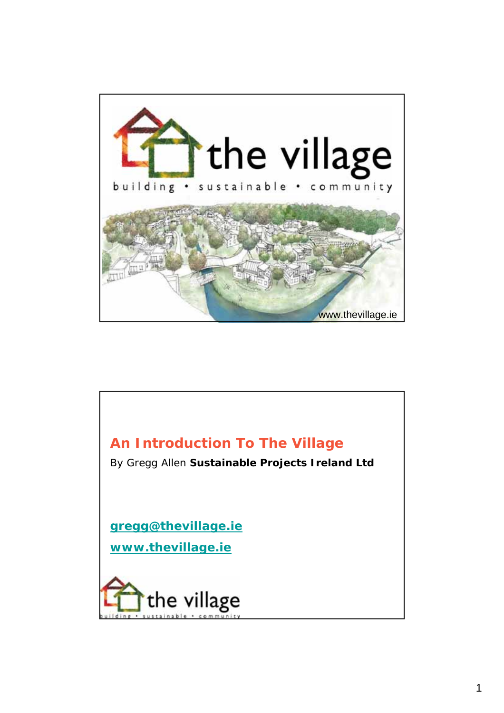

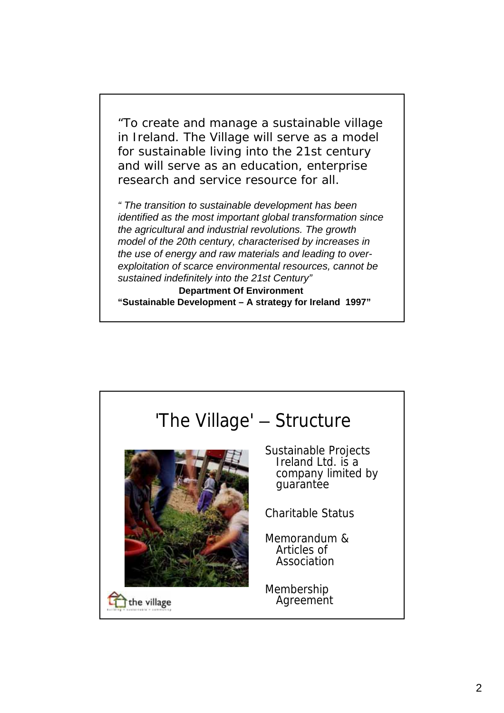"To create and manage a sustainable village in Ireland. The Village will serve as a model for sustainable living into the 21st century and will serve as an education, enterprise research and service resource for all.

*" The transition to sustainable development has been identified as the most important global transformation since the agricultural and industrial revolutions. The growth model of the 20th century, characterised by increases in the use of energy and raw materials and leading to overexploitation of scarce environmental resources, cannot be sustained indefinitely into the 21st Century"*

**Department Of Environment "Sustainable Development – A strategy for Ireland 1997"**

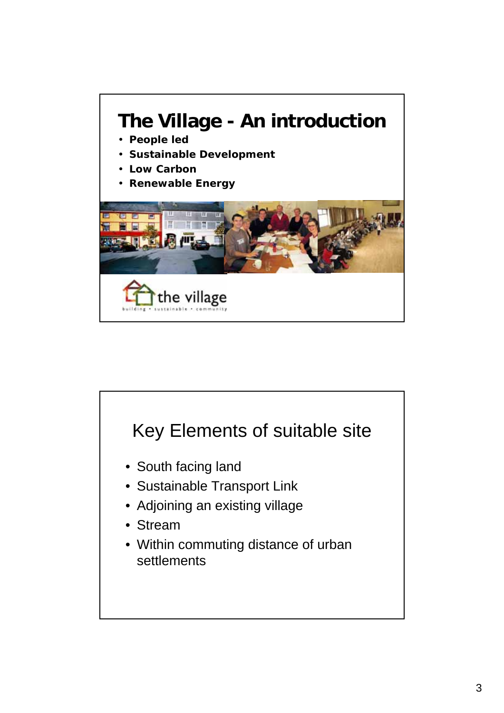

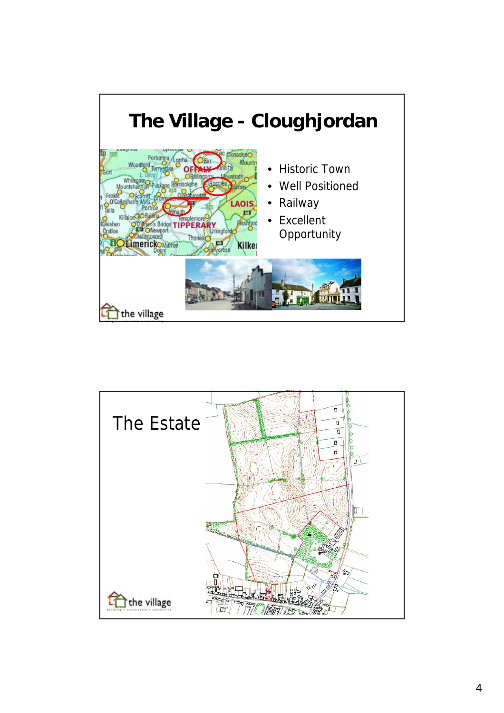

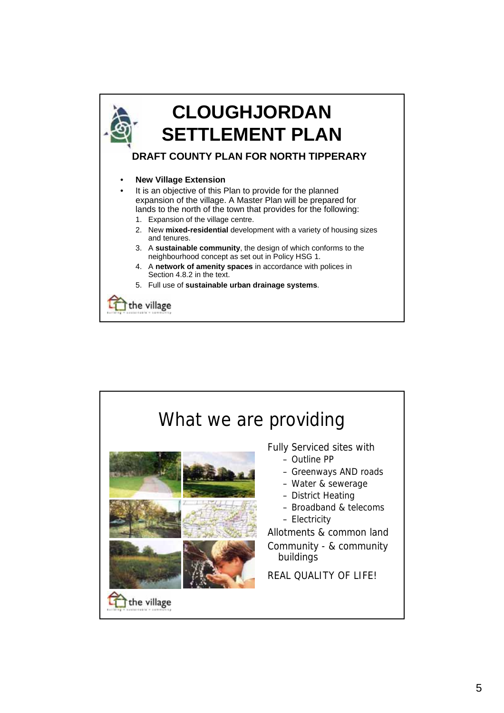

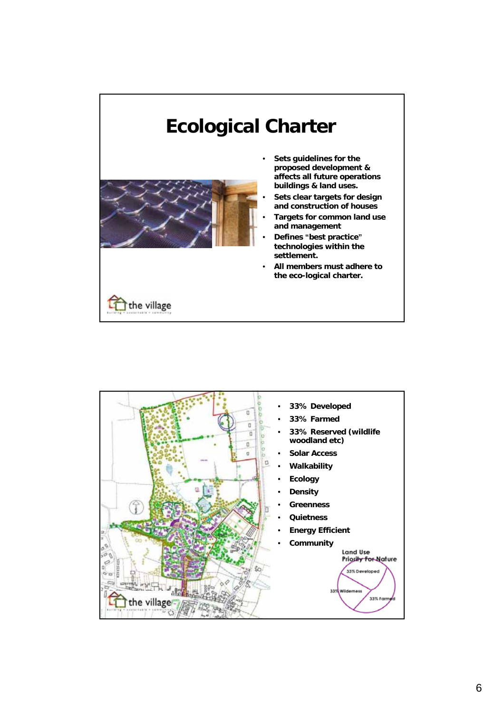

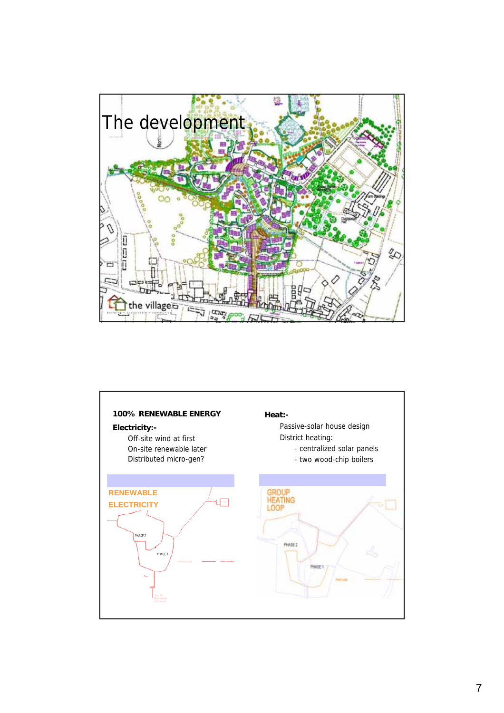

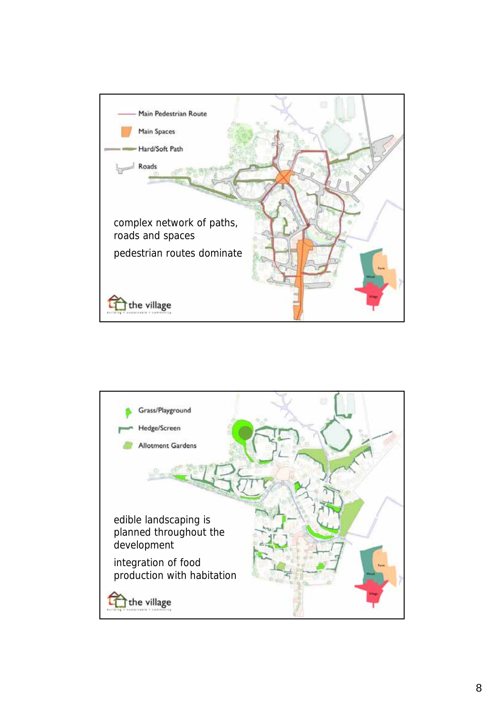

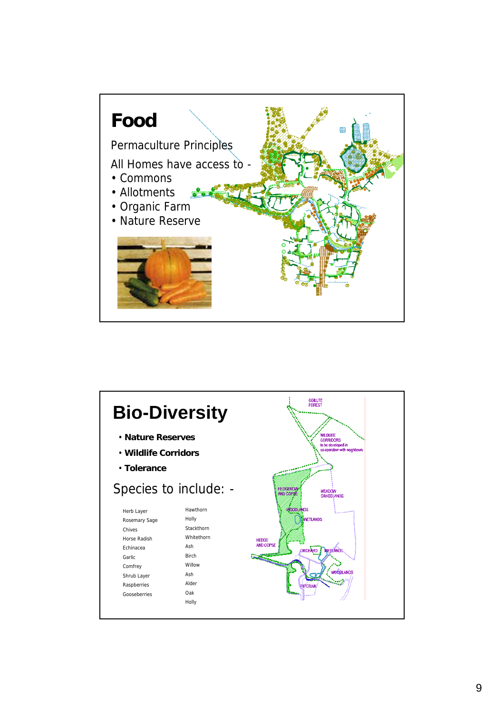

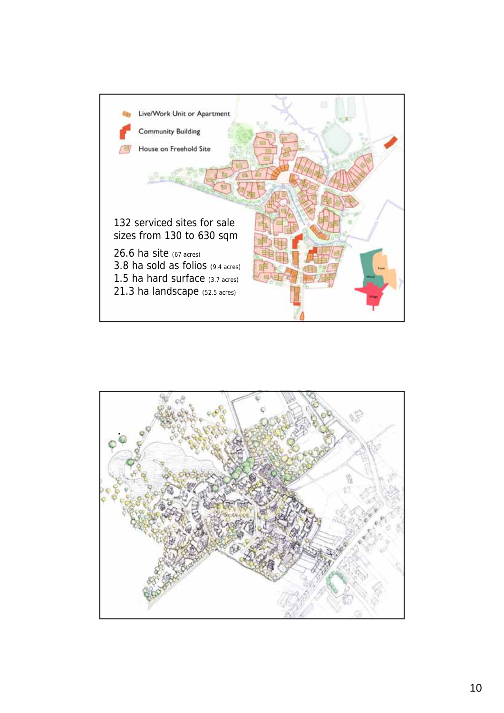

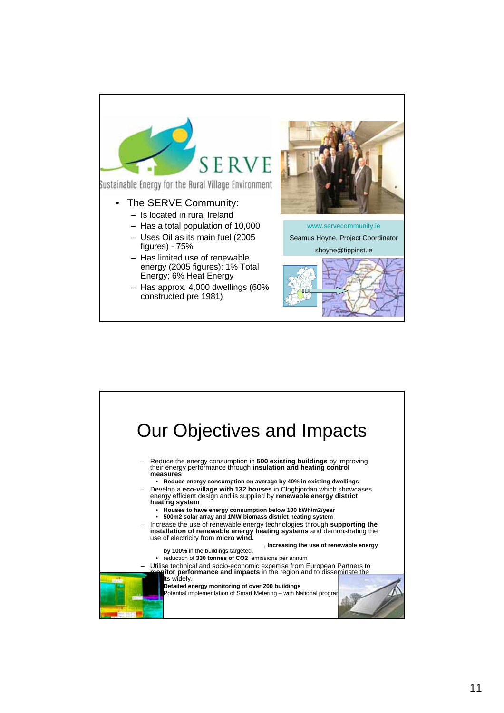

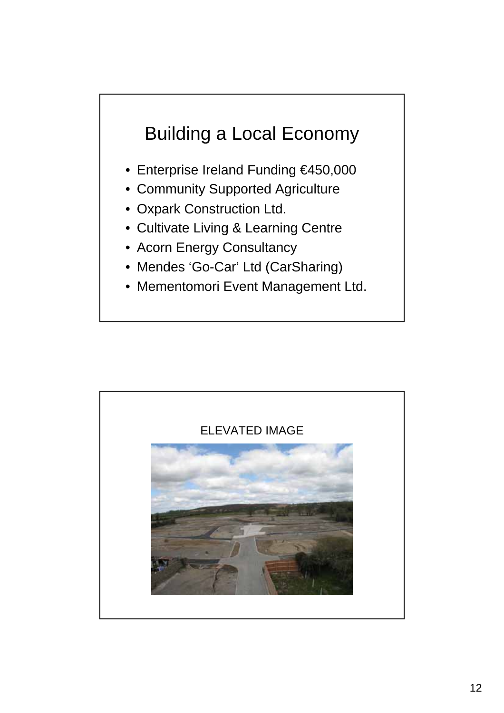## Building a Local Economy

- Enterprise Ireland Funding €450,000
- Community Supported Agriculture
- Oxpark Construction Ltd.
- Cultivate Living & Learning Centre
- Acorn Energy Consultancy
- Mendes 'Go-Car' Ltd (CarSharing)
- Mementomori Event Management Ltd.